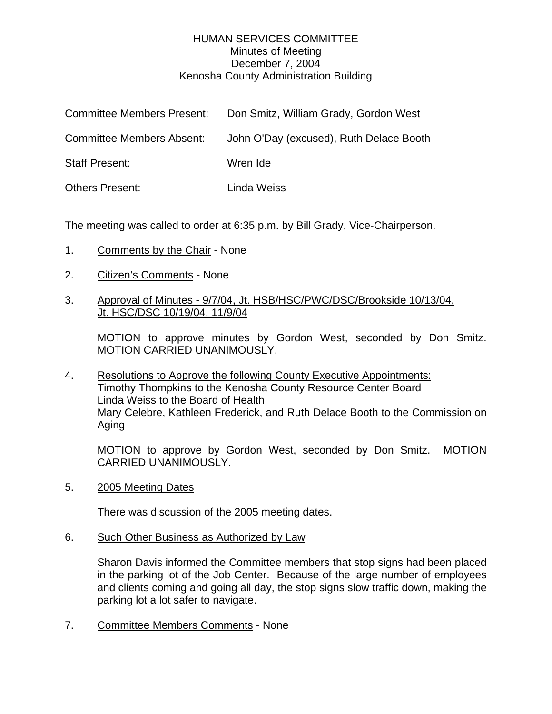## HUMAN SERVICES COMMITTEE Minutes of Meeting December 7, 2004 Kenosha County Administration Building

| <b>Committee Members Present:</b> | Don Smitz, William Grady, Gordon West   |
|-----------------------------------|-----------------------------------------|
| <b>Committee Members Absent:</b>  | John O'Day (excused), Ruth Delace Booth |
| <b>Staff Present:</b>             | Wren Ide                                |
| <b>Others Present:</b>            | Linda Weiss                             |

The meeting was called to order at 6:35 p.m. by Bill Grady, Vice-Chairperson.

- 1. Comments by the Chair None
- 2. Citizen's Comments None
- 3. Approval of Minutes 9/7/04, Jt. HSB/HSC/PWC/DSC/Brookside 10/13/04, Jt. HSC/DSC 10/19/04, 11/9/04

MOTION to approve minutes by Gordon West, seconded by Don Smitz. MOTION CARRIED UNANIMOUSLY.

4. Resolutions to Approve the following County Executive Appointments: Timothy Thompkins to the Kenosha County Resource Center Board Linda Weiss to the Board of Health Mary Celebre, Kathleen Frederick, and Ruth Delace Booth to the Commission on Aging

MOTION to approve by Gordon West, seconded by Don Smitz. MOTION CARRIED UNANIMOUSLY.

5. 2005 Meeting Dates

There was discussion of the 2005 meeting dates.

6. Such Other Business as Authorized by Law

Sharon Davis informed the Committee members that stop signs had been placed in the parking lot of the Job Center. Because of the large number of employees and clients coming and going all day, the stop signs slow traffic down, making the parking lot a lot safer to navigate.

7. Committee Members Comments - None